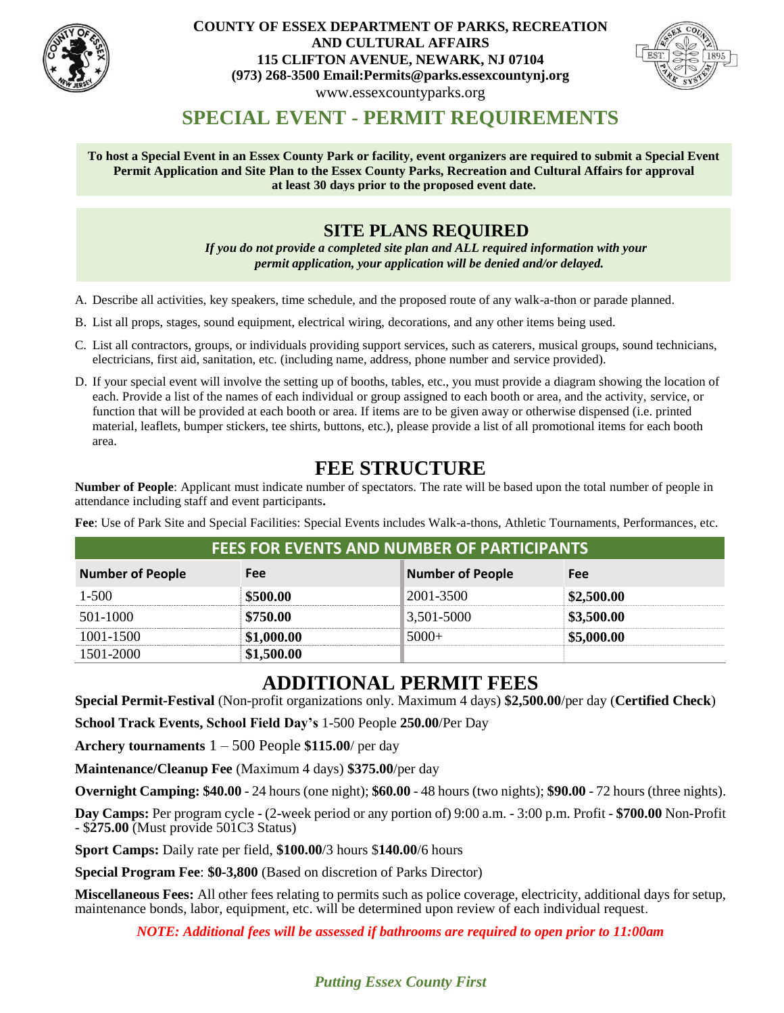

#### **COUNTY OF ESSEX DEPARTMENT OF PARKS, RECREATION AND CULTURAL AFFAIRS 115 CLIFTON AVENUE, NEWARK, NJ 07104 (973) 268-3500 Email:Permits@parks.essexcountynj.org** www.essexcountyparks.org



## **SPECIAL EVENT - PERMIT REQUIREMENTS**

**To host a Special Event in an Essex County Park or facility, event organizers are required to submit a Special Event Permit Application and Site Plan to the Essex County Parks, Recreation and Cultural Affairs for approval at least 30 days prior to the proposed event date.**

## **SITE PLANS REQUIRED**

*If you do not provide a completed site plan and ALL required information with your permit application, your application will be denied and/or delayed.*

- A. Describe all activities, key speakers, time schedule, and the proposed route of any walk-a-thon or parade planned.
- B. List all props, stages, sound equipment, electrical wiring, decorations, and any other items being used.
- C. List all contractors, groups, or individuals providing support services, such as caterers, musical groups, sound technicians, electricians, first aid, sanitation, etc. (including name, address, phone number and service provided).
- D. If your special event will involve the setting up of booths, tables, etc., you must provide a diagram showing the location of each. Provide a list of the names of each individual or group assigned to each booth or area, and the activity, service, or function that will be provided at each booth or area. If items are to be given away or otherwise dispensed (i.e. printed material, leaflets, bumper stickers, tee shirts, buttons, etc.), please provide a list of all promotional items for each booth area.

## **FEE STRUCTURE**

**Number of People**: Applicant must indicate number of spectators. The rate will be based upon the total number of people in attendance including staff and event participants**.**

**Fee**: Use of Park Site and Special Facilities: Special Events includes Walk-a-thons, Athletic Tournaments, Performances, etc.

| FEES FOR EVENTS AND NUMBER OF PARTICIPANTS |          |                         |            |  |
|--------------------------------------------|----------|-------------------------|------------|--|
| <b>Number of People</b>                    | Fee      | <b>Number of People</b> | Fee        |  |
| $1 - 500$                                  | \$500.00 | 2001-3500               | \$2,500.00 |  |
| 501-1000                                   | \$750.00 | 3,501-5000              | \$3,500.00 |  |
| 1001-1500                                  |          |                         | 5.000.00   |  |
| 1501-2000                                  |          |                         |            |  |

## **ADDITIONAL PERMIT FEES**

**Special Permit-Festival** (Non-profit organizations only. Maximum 4 days) **\$2,500.00**/per day (**Certified Check**)

**School Track Events, School Field Day's** 1-500 People **250.00**/Per Day

**Archery tournaments** 1 – 500 People **\$115.00**/ per day

**Maintenance/Cleanup Fee** (Maximum 4 days) **\$375.00**/per day

**Overnight Camping: \$40.00** - 24 hours (one night); **\$60.00** - 48 hours (two nights); **\$90.00** - 72 hours (three nights).

**Day Camps:** Per program cycle - (2-week period or any portion of) 9:00 a.m. - 3:00 p.m. Profit - **\$700.00** Non-Profit - \$**275.00** (Must provide 501C3 Status)

**Sport Camps:** Daily rate per field, **\$100.00**/3 hours \$**140.00**/6 hours

**Special Program Fee**: **\$0-3,800** (Based on discretion of Parks Director)

**Miscellaneous Fees:** All other fees relating to permits such as police coverage, electricity, additional days for setup, maintenance bonds, labor, equipment, etc. will be determined upon review of each individual request.

*NOTE: Additional fees will be assessed if bathrooms are required to open prior to 11:00am*

*Putting Essex County First*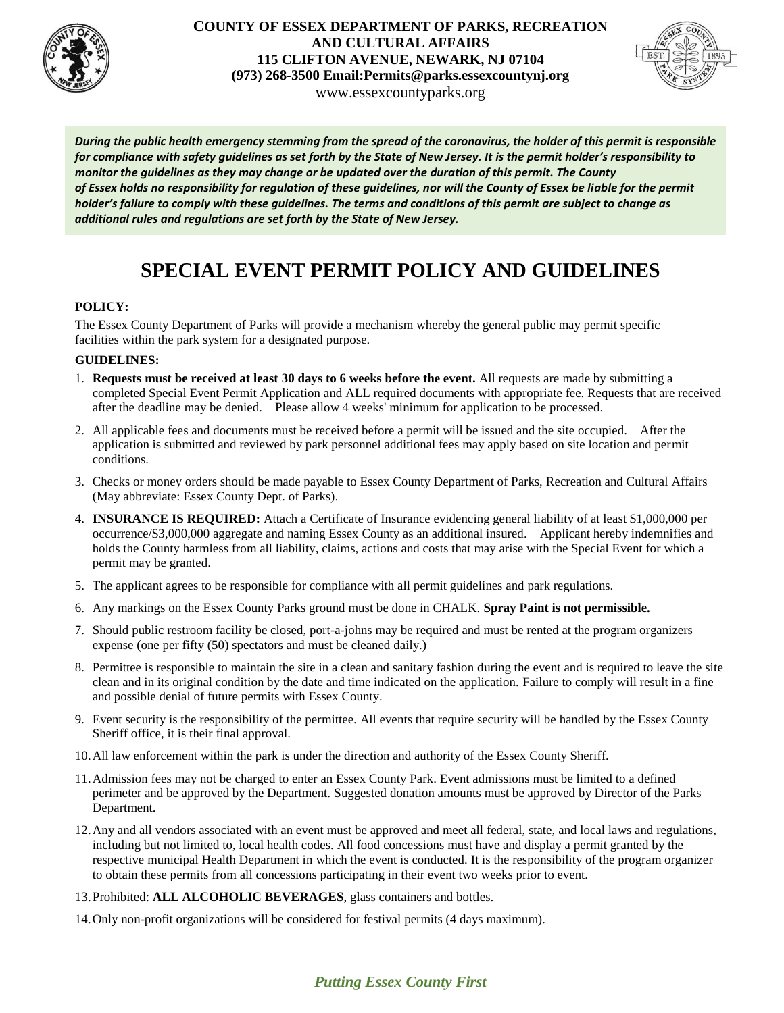

#### **COUNTY OF ESSEX DEPARTMENT OF PARKS, RECREATION AND CULTURAL AFFAIRS 115 CLIFTON AVENUE, NEWARK, NJ 07104 (973) 268-3500 Email:Permits@parks.essexcountynj.org** www.essexcountyparks.org



*During the public health emergency stemming from the spread of the coronavirus, the holder of this permit is responsible for compliance with safety guidelines as set forth by the State of New Jersey. It is the permit holder's responsibility to monitor the guidelines as they may change or be updated over the duration of this permit. The County of Essex holds no responsibility for regulation of these guidelines, nor will the County of Essex be liable for the permit holder's failure to comply with these guidelines. The terms and conditions of this permit are subject to change as additional rules and regulations are set forth by the State of New Jersey.*

# **SPECIAL EVENT PERMIT POLICY AND GUIDELINES**

#### **POLICY:**

The Essex County Department of Parks will provide a mechanism whereby the general public may permit specific facilities within the park system for a designated purpose.

#### **GUIDELINES:**

- 1. **Requests must be received at least 30 days to 6 weeks before the event.** All requests are made by submitting a completed Special Event Permit Application and ALL required documents with appropriate fee. Requests that are received after the deadline may be denied. Please allow 4 weeks' minimum for application to be processed.
- 2. All applicable fees and documents must be received before a permit will be issued and the site occupied. After the application is submitted and reviewed by park personnel additional fees may apply based on site location and permit conditions.
- 3. Checks or money orders should be made payable to Essex County Department of Parks, Recreation and Cultural Affairs (May abbreviate: Essex County Dept. of Parks).
- 4. **INSURANCE IS REQUIRED:** Attach a Certificate of Insurance evidencing general liability of at least \$1,000,000 per occurrence/\$3,000,000 aggregate and naming Essex County as an additional insured. Applicant hereby indemnifies and holds the County harmless from all liability, claims, actions and costs that may arise with the Special Event for which a permit may be granted.
- 5. The applicant agrees to be responsible for compliance with all permit guidelines and park regulations.
- 6. Any markings on the Essex County Parks ground must be done in CHALK. **Spray Paint is not permissible.**
- 7. Should public restroom facility be closed, port-a-johns may be required and must be rented at the program organizers expense (one per fifty (50) spectators and must be cleaned daily.)
- 8. Permittee is responsible to maintain the site in a clean and sanitary fashion during the event and is required to leave the site clean and in its original condition by the date and time indicated on the application. Failure to comply will result in a fine and possible denial of future permits with Essex County.
- 9. Event security is the responsibility of the permittee. All events that require security will be handled by the Essex County Sheriff office, it is their final approval.
- 10.All law enforcement within the park is under the direction and authority of the Essex County Sheriff.
- 11.Admission fees may not be charged to enter an Essex County Park. Event admissions must be limited to a defined perimeter and be approved by the Department. Suggested donation amounts must be approved by Director of the Parks Department.
- 12.Any and all vendors associated with an event must be approved and meet all federal, state, and local laws and regulations, including but not limited to, local health codes. All food concessions must have and display a permit granted by the respective municipal Health Department in which the event is conducted. It is the responsibility of the program organizer to obtain these permits from all concessions participating in their event two weeks prior to event.
- 13.Prohibited: **ALL ALCOHOLIC BEVERAGES**, glass containers and bottles.
- 14.Only non-profit organizations will be considered for festival permits (4 days maximum).

### *Putting Essex County First*